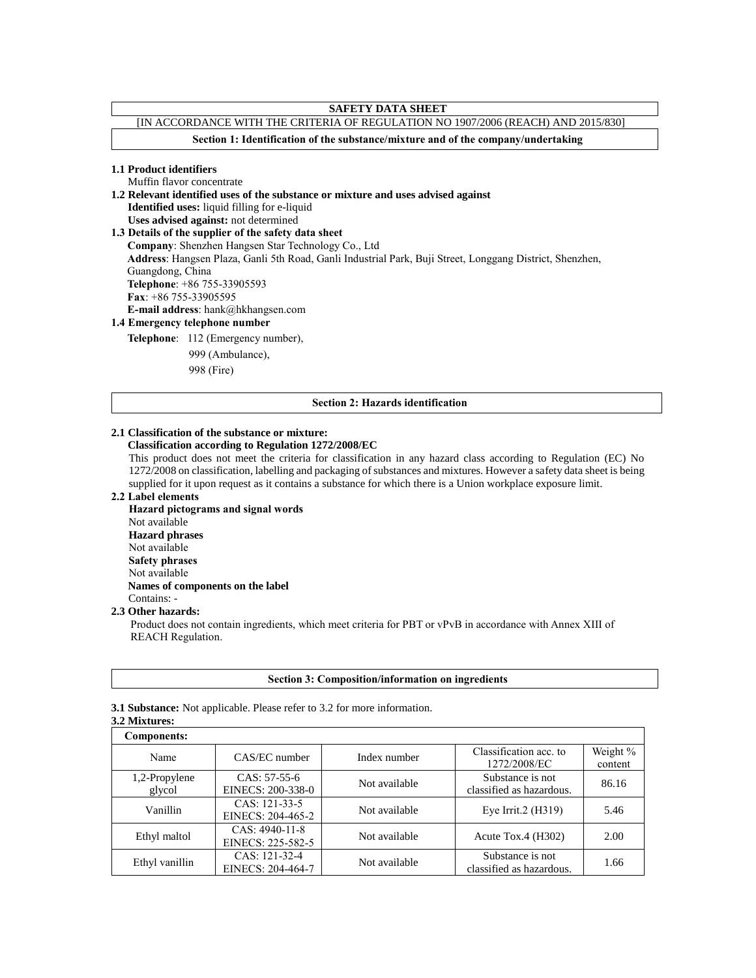# **SAFETY DATA SHEET** [IN ACCORDANCE WITH THE CRITERIA OF REGULATION NO 1907/2006 (REACH) AND 2015/830] **Section 1: Identification of the substance/mixture and of the company/undertaking 1.1 Product identifiers** Muffin flavor concentrate **1.2 Relevant identified uses of the substance or mixture and uses advised against Identified uses:** liquid filling for e-liquid **Uses advised against:** not determined **1.3 Details of the supplier of the safety data sheet Company**: Shenzhen Hangsen Star Technology Co., Ltd **Address**: Hangsen Plaza, Ganli 5th Road, Ganli Industrial Park, Buji Street, Longgang District, Shenzhen, Guangdong, China **Telephone**: +86 755-33905593 **Fax**: +86 755-33905595 **E-mail address**: hank@hkhangsen.com **1.4 Emergency telephone number Telephone**: 112 (Emergency number), 999 (Ambulance),

998 (Fire)

#### **Section 2: Hazards identification**

#### **2.1 Classification of the substance or mixture:**

## **Classification according to Regulation 1272/2008/EC**

This product does not meet the criteria for classification in any hazard class according to Regulation (EC) No 1272/2008 on classification, labelling and packaging of substances and mixtures. However a safety data sheet is being supplied for it upon request as it contains a substance for which there is a Union workplace exposure limit.

#### **2.2 Label elements**

**Hazard pictograms and signal words** Not available **Hazard phrases** Not available **Safety phrases** Not available  **Names of components on the label** Contains: -

#### **2.3 Other hazards:**

Product does not contain ingredients, which meet criteria for PBT or vPvB in accordance with Annex XIII of REACH Regulation.

#### **Section 3: Composition/information on ingredients**

**3.1 Substance:** Not applicable. Please refer to 3.2 for more information.

**3.2 Mixtures:** 

| <b>Components:</b>      |                                     |               |                                              |                     |
|-------------------------|-------------------------------------|---------------|----------------------------------------------|---------------------|
| Name                    | CAS/EC number                       | Index number  | Classification acc. to<br>1272/2008/EC       | Weight %<br>content |
| 1,2-Propylene<br>glycol | $CAS: 57-55-6$<br>EINECS: 200-338-0 | Not available | Substance is not<br>classified as hazardous. | 86.16               |
| Vanillin                | CAS: 121-33-5<br>EINECS: 204-465-2  | Not available | Eye Irrit. $2$ (H $319$ )                    | 5.46                |
| Ethyl maltol            | CAS: 4940-11-8<br>EINECS: 225-582-5 | Not available | Acute Tox.4 $(H302)$                         | 2.00                |
| Ethyl vanillin          | CAS: 121-32-4<br>EINECS: 204-464-7  | Not available | Substance is not<br>classified as hazardous. | 1.66                |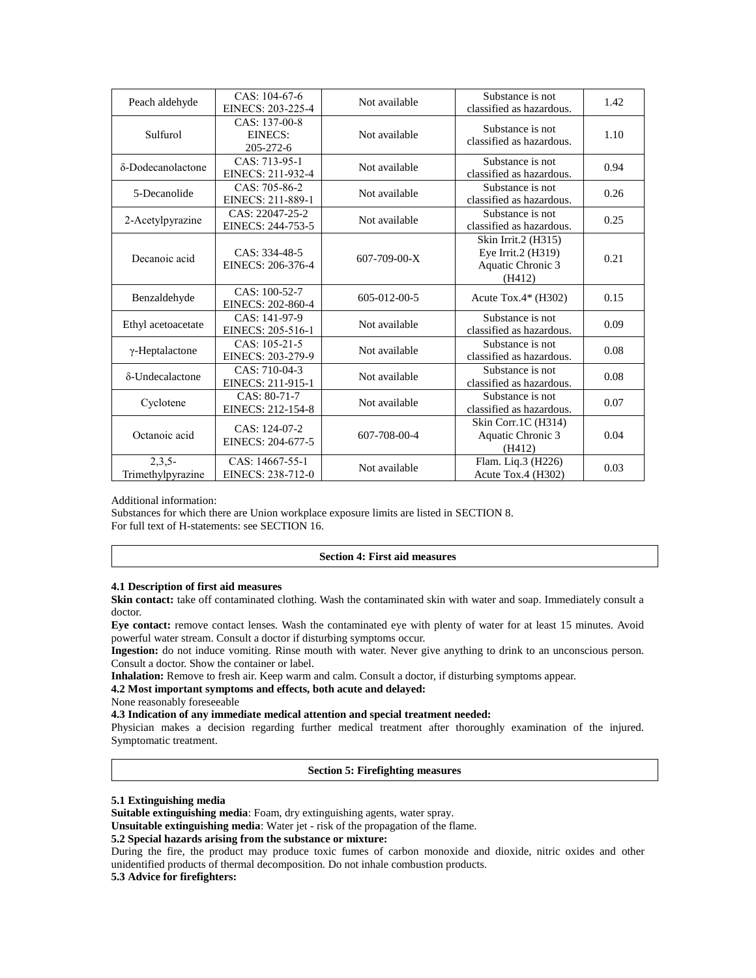| Peach aldehyde                | $CAS: 104-67-6$<br>EINECS: 203-225-4  | Not available        | Substance is not<br>classified as hazardous.                             | 1.42 |
|-------------------------------|---------------------------------------|----------------------|--------------------------------------------------------------------------|------|
| Sulfurol                      | CAS: 137-00-8<br>EINECS:<br>205-272-6 | Not available        | Substance is not<br>classified as hazardous.                             | 1.10 |
| δ-Dodecanolactone             | CAS: 713-95-1<br>EINECS: 211-932-4    | Not available        | Substance is not<br>classified as hazardous.                             | 0.94 |
| 5-Decanolide                  | CAS: 705-86-2<br>EINECS: 211-889-1    | Not available        | Substance is not<br>classified as hazardous.                             | 0.26 |
| 2-Acetylpyrazine              | CAS: 22047-25-2<br>EINECS: 244-753-5  | Not available        | Substance is not<br>classified as hazardous.                             | 0.25 |
| Decanoic acid                 | CAS: 334-48-5<br>EINECS: 206-376-4    | $607 - 709 - 00 - X$ | Skin Irrit.2 (H315)<br>Eye Irrit.2 (H319)<br>Aquatic Chronic 3<br>(H412) | 0.21 |
| Benzaldehyde                  | CAS: 100-52-7<br>EINECS: 202-860-4    | 605-012-00-5         | Acute Tox. $4*(H302)$                                                    | 0.15 |
| Ethyl acetoacetate            | CAS: 141-97-9<br>EINECS: 205-516-1    | Not available        | Substance is not<br>classified as hazardous.                             | 0.09 |
| $\gamma$ -Heptalactone        | CAS: 105-21-5<br>EINECS: 203-279-9    | Not available        | Substance is not<br>classified as hazardous.                             | 0.08 |
| δ-Undecalactone               | CAS: 710-04-3<br>EINECS: 211-915-1    | Not available        | Substance is not<br>classified as hazardous.                             | 0.08 |
| Cyclotene                     | CAS: 80-71-7<br>EINECS: 212-154-8     | Not available        | Substance is not<br>classified as hazardous.                             | 0.07 |
| Octanoic acid                 | CAS: 124-07-2<br>EINECS: 204-677-5    | 607-708-00-4         | Skin Corr.1C (H314)<br>Aquatic Chronic 3<br>(H412)                       | 0.04 |
| $2,3,5-$<br>Trimethylpyrazine | CAS: 14667-55-1<br>EINECS: 238-712-0  | Not available        | Flam. Liq.3 (H226)<br>Acute Tox.4 $(H302)$                               | 0.03 |

Additional information:

Substances for which there are Union workplace exposure limits are listed in SECTION 8. For full text of H-statements: see SECTION 16.

#### **Section 4: First aid measures**

#### **4.1 Description of first aid measures**

**Skin contact:** take off contaminated clothing. Wash the contaminated skin with water and soap. Immediately consult a doctor.

**Eye contact:** remove contact lenses. Wash the contaminated eye with plenty of water for at least 15 minutes. Avoid powerful water stream. Consult a doctor if disturbing symptoms occur.

**Ingestion:** do not induce vomiting. Rinse mouth with water. Never give anything to drink to an unconscious person. Consult a doctor. Show the container or label.

**Inhalation:** Remove to fresh air. Keep warm and calm. Consult a doctor, if disturbing symptoms appear.

**4.2 Most important symptoms and effects, both acute and delayed:** 

None reasonably foreseeable

**4.3 Indication of any immediate medical attention and special treatment needed:** 

Physician makes a decision regarding further medical treatment after thoroughly examination of the injured. Symptomatic treatment.

**Section 5: Firefighting measures**

# **5.1 Extinguishing media**

**Suitable extinguishing media**: Foam, dry extinguishing agents, water spray.

**Unsuitable extinguishing media**: Water jet - risk of the propagation of the flame.

## **5.2 Special hazards arising from the substance or mixture:**

During the fire, the product may produce toxic fumes of carbon monoxide and dioxide, nitric oxides and other unidentified products of thermal decomposition. Do not inhale combustion products.

**5.3 Advice for firefighters:**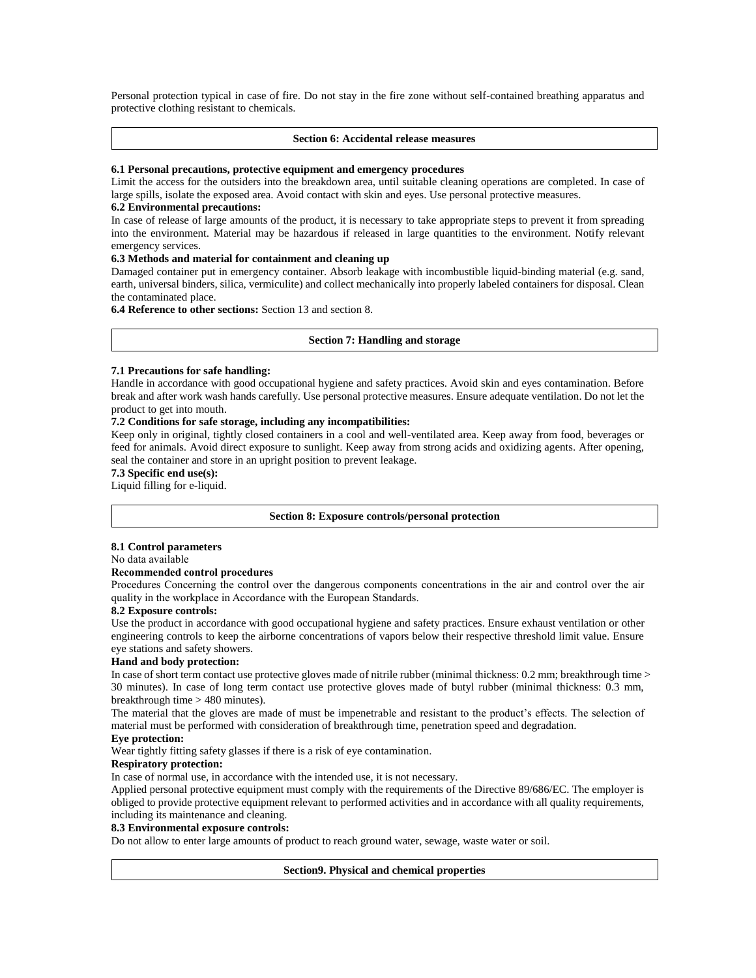Personal protection typical in case of fire. Do not stay in the fire zone without self-contained breathing apparatus and protective clothing resistant to chemicals.

#### **Section 6: Accidental release measures**

#### **6.1 Personal precautions, protective equipment and emergency procedures**

Limit the access for the outsiders into the breakdown area, until suitable cleaning operations are completed. In case of large spills, isolate the exposed area. Avoid contact with skin and eyes. Use personal protective measures.

#### **6.2 Environmental precautions:**

In case of release of large amounts of the product, it is necessary to take appropriate steps to prevent it from spreading into the environment. Material may be hazardous if released in large quantities to the environment. Notify relevant emergency services.

## **6.3 Methods and material for containment and cleaning up**

Damaged container put in emergency container. Absorb leakage with incombustible liquid-binding material (e.g. sand, earth, universal binders, silica, vermiculite) and collect mechanically into properly labeled containers for disposal. Clean the contaminated place.

**6.4 Reference to other sections:** Section 13 and section 8.

#### **Section 7: Handling and storage**

#### **7.1 Precautions for safe handling:**

Handle in accordance with good occupational hygiene and safety practices. Avoid skin and eyes contamination. Before break and after work wash hands carefully. Use personal protective measures. Ensure adequate ventilation. Do not let the product to get into mouth.

#### **7.2 Conditions for safe storage, including any incompatibilities:**

Keep only in original, tightly closed containers in a cool and well-ventilated area. Keep away from food, beverages or feed for animals. Avoid direct exposure to sunlight. Keep away from strong acids and oxidizing agents. After opening, seal the container and store in an upright position to prevent leakage.

**7.3 Specific end use(s):**

Liquid filling for e-liquid.

#### **Section 8: Exposure controls/personal protection**

#### **8.1 Control parameters**

No data available

# **Recommended control procedures**

Procedures Concerning the control over the dangerous components concentrations in the air and control over the air quality in the workplace in Accordance with the European Standards.

### **8.2 Exposure controls:**

Use the product in accordance with good occupational hygiene and safety practices. Ensure exhaust ventilation or other engineering controls to keep the airborne concentrations of vapors below their respective threshold limit value. Ensure eye stations and safety showers.

#### **Hand and body protection:**

In case of short term contact use protective gloves made of nitrile rubber (minimal thickness: 0.2 mm; breakthrough time > 30 minutes). In case of long term contact use protective gloves made of butyl rubber (minimal thickness: 0.3 mm, breakthrough time > 480 minutes).

The material that the gloves are made of must be impenetrable and resistant to the product's effects. The selection of material must be performed with consideration of breakthrough time, penetration speed and degradation.

#### **Eye protection:**

Wear tightly fitting safety glasses if there is a risk of eye contamination.

# **Respiratory protection:**

In case of normal use, in accordance with the intended use, it is not necessary.

Applied personal protective equipment must comply with the requirements of the Directive 89/686/EC. The employer is obliged to provide protective equipment relevant to performed activities and in accordance with all quality requirements, including its maintenance and cleaning.

## **8.3 Environmental exposure controls:**

Do not allow to enter large amounts of product to reach ground water, sewage, waste water or soil.

#### **Section9. Physical and chemical properties**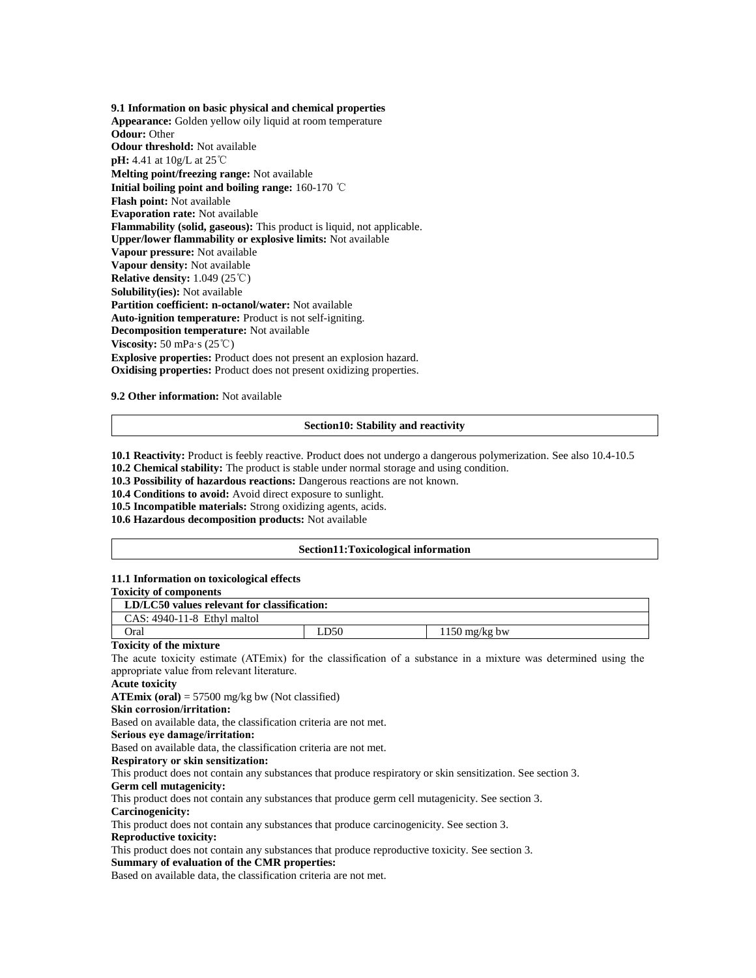**9.1 Information on basic physical and chemical properties Appearance:** Golden yellow oily liquid at room temperature **Odour:** Other **Odour threshold:** Not available **pH:** 4.41 at 10g/L at 25℃ **Melting point/freezing range:** Not available **Initial boiling point and boiling range:** 160-170 ℃ **Flash point:** Not available **Evaporation rate:** Not available **Flammability (solid, gaseous):** This product is liquid, not applicable. **Upper/lower flammability or explosive limits:** Not available **Vapour pressure:** Not available **Vapour density:** Not available **Relative density:** 1.049 (25℃) **Solubility(ies):** Not available **Partition coefficient: n-octanol/water:** Not available **Auto-ignition temperature:** Product is not self-igniting. **Decomposition temperature:** Not available **Viscosity:** 50 mPa·s (25℃) **Explosive properties:** Product does not present an explosion hazard. **Oxidising properties:** Product does not present oxidizing properties.

**9.2 Other information:** Not available

## **Section10: Stability and reactivity**

**10.1 Reactivity:** Product is feebly reactive. Product does not undergo a dangerous polymerization. See also 10.4-10.5

**10.2 Chemical stability:** The product is stable under normal storage and using condition.

**10.3 Possibility of hazardous reactions:** Dangerous reactions are not known.

**10.4 Conditions to avoid:** Avoid direct exposure to sunlight.

**10.5 Incompatible materials:** Strong oxidizing agents, acids.

**10.6 Hazardous decomposition products:** Not available

#### **Section11:Toxicological information**

### **11.1 Information on toxicological effects**

### **Toxicity of components**

| $CAS: 4940-11-8$ Ethyl maltol | LD/LC50 values relevant for classification: |     |                         |  |
|-------------------------------|---------------------------------------------|-----|-------------------------|--|
|                               |                                             |     |                         |  |
|                               | Oral                                        | D50 | $1150 \text{ mg/kg}$ bw |  |

#### **Toxicity of the mixture**

The acute toxicity estimate (ATEmix) for the classification of a substance in a mixture was determined using the appropriate value from relevant literature.

**Acute toxicity**

**ATEmix (oral)** = 57500 mg/kg bw (Not classified)

**Skin corrosion/irritation:**

Based on available data, the classification criteria are not met.

**Serious eye damage/irritation:**

Based on available data, the classification criteria are not met.

**Respiratory or skin sensitization:**

This product does not contain any substances that produce respiratory or skin sensitization. See section 3.

#### **Germ cell mutagenicity:**

This product does not contain any substances that produce germ cell mutagenicity. See section 3.

**Carcinogenicity:**

This product does not contain any substances that produce carcinogenicity. See section 3.

#### **Reproductive toxicity:**

This product does not contain any substances that produce reproductive toxicity. See section 3.

## **Summary of evaluation of the CMR properties:**

Based on available data, the classification criteria are not met.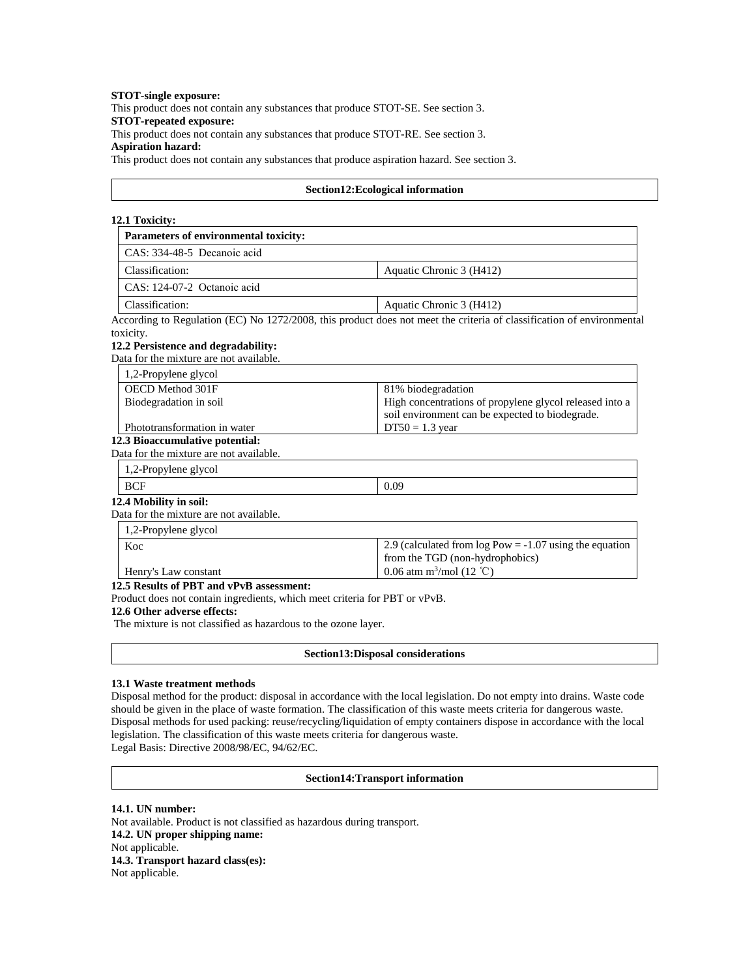#### **STOT-single exposure:**

This product does not contain any substances that produce STOT-SE. See section 3.

## **STOT-repeated exposure:**

This product does not contain any substances that produce STOT-RE. See section 3.

**Aspiration hazard:**

This product does not contain any substances that produce aspiration hazard. See section 3.

## **Section12:Ecological information**

### **12.1 Toxicity:**

| Parameters of environmental toxicity:   |                                                                                                                       |
|-----------------------------------------|-----------------------------------------------------------------------------------------------------------------------|
| CAS: 334-48-5 Decanoic acid             |                                                                                                                       |
| Classification:                         | Aquatic Chronic 3 (H412)                                                                                              |
| CAS: 124-07-2 Octanoic acid             |                                                                                                                       |
| Classification:                         | Aquatic Chronic 3 (H412)                                                                                              |
|                                         | According to Regulation (EC) No 1272/2008, this product does not meet the criteria of classification of environmental |
| toxicity.                               |                                                                                                                       |
| 12.2 Persistence and degradability:     |                                                                                                                       |
| Data for the mixture are not available. |                                                                                                                       |
| 1,2-Propylene glycol                    |                                                                                                                       |
| OECD Method 301F                        | 81% biodegradation                                                                                                    |
| Biodegradation in soil                  | High concentrations of propylene glycol released into a                                                               |

 $DT50 = 1.3$  year

soil environment can be expected to biodegrade.

# Phototransformation in water

**12.3 Bioaccumulative potential:**  Data for the mixture are not available.

1,2-Propylene glycol

## **12.4 Mobility in soil:**

Data for the mixture are not available.

| $1,2$ -Propylene glycol |                                                           |
|-------------------------|-----------------------------------------------------------|
| Koc                     | 2.9 (calculated from $log Pow = -1.07$ using the equation |
|                         | from the TGD (non-hydrophobics)                           |
| Henry's Law constant    | 0.06 atm m <sup>3</sup> /mol (12 °C)                      |

**12.5 Results of PBT and vPvB assessment:** 

Product does not contain ingredients, which meet criteria for PBT or vPvB.

## **12.6 Other adverse effects:**

The mixture is not classified as hazardous to the ozone layer.

**Section13:Disposal considerations**

#### **13.1 Waste treatment methods**

Disposal method for the product: disposal in accordance with the local legislation. Do not empty into drains. Waste code should be given in the place of waste formation. The classification of this waste meets criteria for dangerous waste. Disposal methods for used packing: reuse/recycling/liquidation of empty containers dispose in accordance with the local legislation. The classification of this waste meets criteria for dangerous waste. Legal Basis: Directive 2008/98/EC, 94/62/EC.

#### **Section14:Transport information**

#### **14.1. UN number:**

Not available. Product is not classified as hazardous during transport. **14.2. UN proper shipping name:**  Not applicable. **14.3. Transport hazard class(es):**  Not applicable.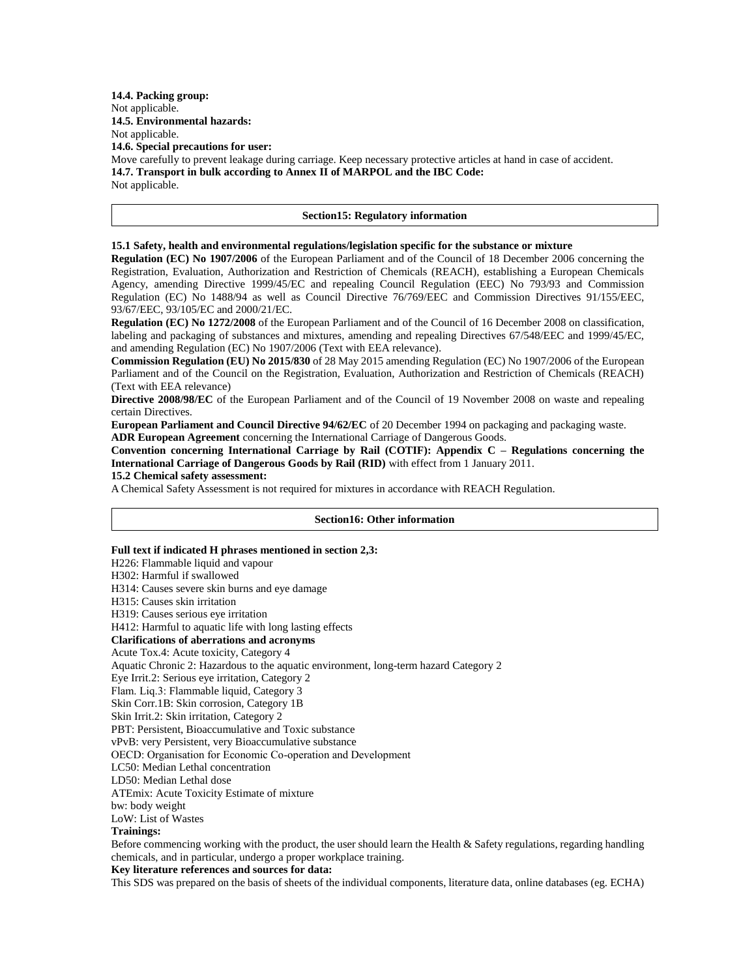**14.4. Packing group:**  Not applicable. **14.5. Environmental hazards:**  Not applicable. **14.6. Special precautions for user:**  Move carefully to prevent leakage during carriage. Keep necessary protective articles at hand in case of accident. **14.7. Transport in bulk according to Annex II of MARPOL and the IBC Code:**  Not applicable.

#### **Section15: Regulatory information**

#### **15.1 Safety, health and environmental regulations/legislation specific for the substance or mixture**

**Regulation (EC) No 1907/2006** of the European Parliament and of the Council of 18 December 2006 concerning the Registration, Evaluation, Authorization and Restriction of Chemicals (REACH), establishing a European Chemicals Agency, amending Directive 1999/45/EC and repealing Council Regulation (EEC) No 793/93 and Commission Regulation (EC) No 1488/94 as well as Council Directive 76/769/EEC and Commission Directives 91/155/EEC, 93/67/EEC, 93/105/EC and 2000/21/EC.

**Regulation (EC) No 1272/2008** of the European Parliament and of the Council of 16 December 2008 on classification, labeling and packaging of substances and mixtures, amending and repealing Directives 67/548/EEC and 1999/45/EC, and amending Regulation (EC) No 1907/2006 (Text with EEA relevance).

**Commission Regulation (EU) No 2015/830** of 28 May 2015 amending Regulation (EC) No 1907/2006 of the European Parliament and of the Council on the Registration, Evaluation, Authorization and Restriction of Chemicals (REACH) (Text with EEA relevance)

**Directive 2008/98/EC** of the European Parliament and of the Council of 19 November 2008 on waste and repealing certain Directives.

**European Parliament and Council Directive 94/62/EC** of 20 December 1994 on packaging and packaging waste. **ADR European Agreement** concerning the International Carriage of Dangerous Goods.

**Convention concerning International Carriage by Rail (COTIF): Appendix C – Regulations concerning the International Carriage of Dangerous Goods by Rail (RID)** with effect from 1 January 2011.

**15.2 Chemical safety assessment:** 

A Chemical Safety Assessment is not required for mixtures in accordance with REACH Regulation.

### **Section16: Other information**

#### **Full text if indicated H phrases mentioned in section 2,3:**

H226: Flammable liquid and vapour

H302: Harmful if swallowed

H314: Causes severe skin burns and eye damage

H315: Causes skin irritation

H319: Causes serious eye irritation

H412: Harmful to aquatic life with long lasting effects

# **Clarifications of aberrations and acronyms**

Acute Tox.4: Acute toxicity, Category 4

Aquatic Chronic 2: Hazardous to the aquatic environment, long-term hazard Category 2

Eye Irrit.2: Serious eye irritation, Category 2

Flam. Liq.3: Flammable liquid, Category 3

Skin Corr.1B: Skin corrosion, Category 1B

Skin Irrit.2: Skin irritation, Category 2

PBT: Persistent, Bioaccumulative and Toxic substance

vPvB: very Persistent, very Bioaccumulative substance

OECD: Organisation for Economic Co-operation and Development

LC50: Median Lethal concentration

LD50: Median Lethal dose

ATEmix: Acute Toxicity Estimate of mixture

bw: body weight

LoW: List of Wastes

# **Trainings:**

Before commencing working with the product, the user should learn the Health & Safety regulations, regarding handling chemicals, and in particular, undergo a proper workplace training.

### **Key literature references and sources for data:**

This SDS was prepared on the basis of sheets of the individual components, literature data, online databases (eg. ECHA)